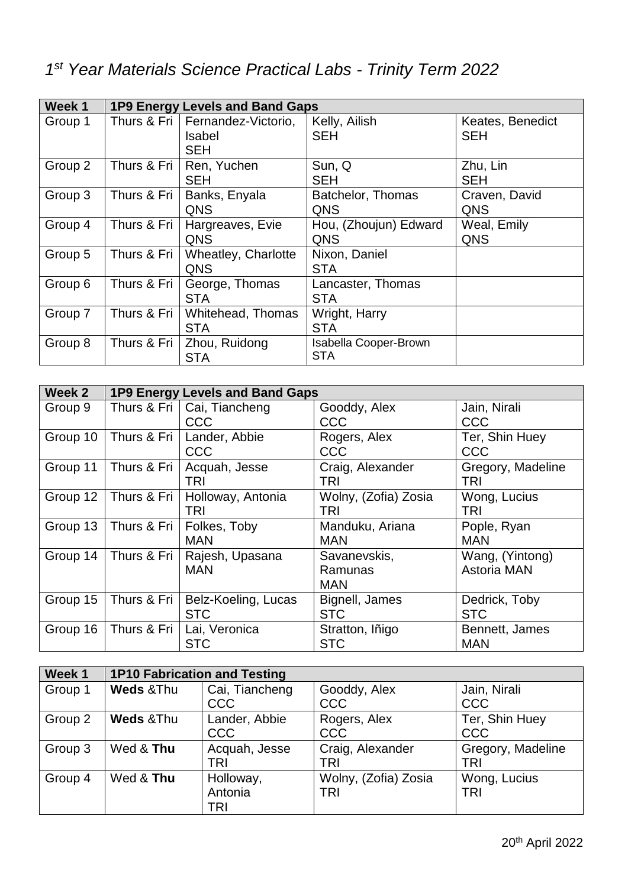| Week 1  | 1P9 Energy Levels and Band Gaps |                                                           |                                            |                                |
|---------|---------------------------------|-----------------------------------------------------------|--------------------------------------------|--------------------------------|
| Group 1 |                                 | Thurs & Fri   Fernandez-Victorio,<br>Isabel<br><b>SEH</b> | Kelly, Ailish<br><b>SEH</b>                | Keates, Benedict<br><b>SEH</b> |
| Group 2 | Thurs & Fri                     | Ren, Yuchen<br><b>SEH</b>                                 | Sun, Q<br><b>SEH</b>                       | Zhu, Lin<br><b>SEH</b>         |
| Group 3 | Thurs & Fri                     | Banks, Enyala<br><b>QNS</b>                               | Batchelor, Thomas<br>QNS                   | Craven, David<br>QNS           |
| Group 4 | Thurs & Fri                     | Hargreaves, Evie<br><b>QNS</b>                            | Hou, (Zhoujun) Edward<br>QNS               | Weal, Emily<br>QNS             |
| Group 5 | Thurs & Fri                     | <b>Wheatley, Charlotte</b><br><b>QNS</b>                  | Nixon, Daniel<br><b>STA</b>                |                                |
| Group 6 | Thurs & Fri                     | George, Thomas<br><b>STA</b>                              | Lancaster, Thomas<br><b>STA</b>            |                                |
| Group 7 | Thurs & Fri                     | Whitehead, Thomas<br><b>STA</b>                           | Wright, Harry<br><b>STA</b>                |                                |
| Group 8 | Thurs & Fri                     | Zhou, Ruidong<br><b>STA</b>                               | <b>Isabella Cooper-Brown</b><br><b>STA</b> |                                |

| Week 2   | 1P9 Energy Levels and Band Gaps |                     |                      |                    |
|----------|---------------------------------|---------------------|----------------------|--------------------|
| Group 9  | Thurs & Fri                     | Cai, Tiancheng      | Gooddy, Alex         | Jain, Nirali       |
|          |                                 | CCC                 | <b>CCC</b>           | <b>CCC</b>         |
| Group 10 | Thurs & Fri                     | Lander, Abbie       | Rogers, Alex         | Ter, Shin Huey     |
|          |                                 | CCC                 | <b>CCC</b>           | <b>CCC</b>         |
| Group 11 | Thurs & Fri                     | Acquah, Jesse       | Craig, Alexander     | Gregory, Madeline  |
|          |                                 | TRI                 | TRI                  | <b>TRI</b>         |
| Group 12 | Thurs & Fri                     | Holloway, Antonia   | Wolny, (Zofia) Zosia | Wong, Lucius       |
|          |                                 | TRI                 | TRI                  | TRI                |
| Group 13 | Thurs & Fri                     | Folkes, Toby        | Manduku, Ariana      | Pople, Ryan        |
|          |                                 | <b>MAN</b>          | <b>MAN</b>           | <b>MAN</b>         |
| Group 14 | Thurs & Fri                     | Rajesh, Upasana     | Savanevskis,         | Wang, (Yintong)    |
|          |                                 | <b>MAN</b>          | Ramunas              | <b>Astoria MAN</b> |
|          |                                 |                     | <b>MAN</b>           |                    |
| Group 15 | Thurs & Fri                     | Belz-Koeling, Lucas | Bignell, James       | Dedrick, Toby      |
|          |                                 | <b>STC</b>          | <b>STC</b>           | <b>STC</b>         |
| Group 16 | Thurs & Fri                     | Lai, Veronica       | Stratton, Iñigo      | Bennett, James     |
|          |                                 | <b>STC</b>          | <b>STC</b>           | <b>MAN</b>         |

| Week 1  | <b>1P10 Fabrication and Testing</b> |                              |                            |                            |
|---------|-------------------------------------|------------------------------|----------------------------|----------------------------|
| Group 1 | <b>Weds &amp; Thu</b>               | Cai, Tiancheng<br><b>CCC</b> | Gooddy, Alex<br><b>CCC</b> | Jain, Nirali<br><b>CCC</b> |
|         |                                     |                              |                            |                            |
| Group 2 | <b>Weds &amp; Thu</b>               | Lander, Abbie                | Rogers, Alex               | Ter, Shin Huey             |
|         |                                     | <b>CCC</b>                   | <b>CCC</b>                 | CCC                        |
| Group 3 | Wed & Thu                           | Acquah, Jesse                | Craig, Alexander           | Gregory, Madeline          |
|         |                                     | TRI                          | TRI                        | <b>TRI</b>                 |
| Group 4 | Wed & Thu                           | Holloway,                    | Wolny, (Zofia) Zosia       | Wong, Lucius               |
|         |                                     | Antonia                      | TRI                        | <b>TRI</b>                 |
|         |                                     | TRI                          |                            |                            |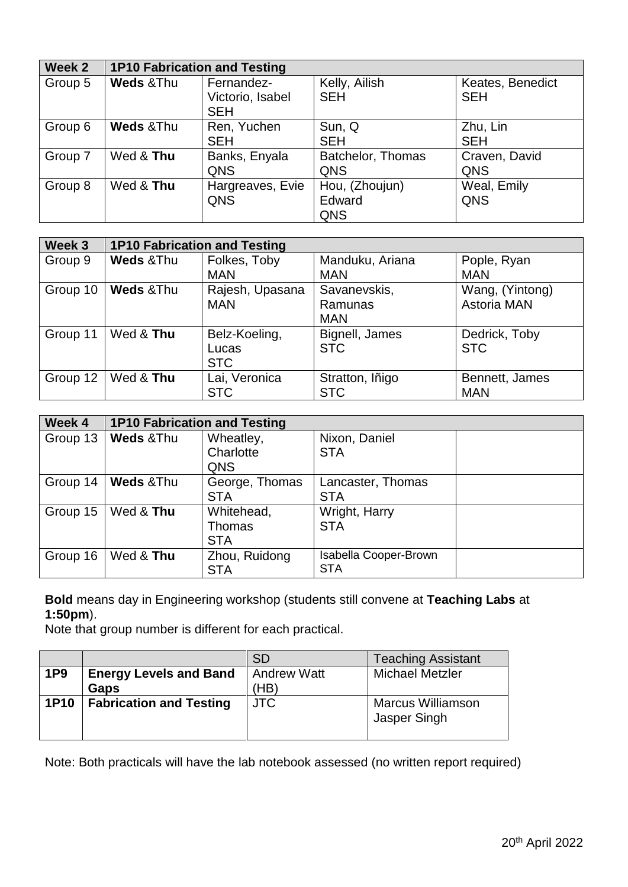| Week 2  | <b>1P10 Fabrication and Testing</b> |                                              |                                 |                                |
|---------|-------------------------------------|----------------------------------------------|---------------------------------|--------------------------------|
| Group 5 | <b>Weds &amp; Thu</b>               | Fernandez-<br>Victorio, Isabel<br><b>SEH</b> | Kelly, Ailish<br><b>SEH</b>     | Keates, Benedict<br><b>SEH</b> |
| Group 6 | Weds & Thu                          | Ren, Yuchen<br><b>SEH</b>                    | Sun, Q<br><b>SEH</b>            | Zhu, Lin<br><b>SEH</b>         |
| Group 7 | Wed & Thu                           | Banks, Enyala<br><b>QNS</b>                  | Batchelor, Thomas<br>QNS        | Craven, David<br>QNS           |
| Group 8 | Wed & Thu                           | Hargreaves, Evie<br><b>QNS</b>               | Hou, (Zhoujun)<br>Edward<br>QNS | Weal, Emily<br>QNS             |

| Week 3   | <b>1P10 Fabrication and Testing</b> |                 |                 |                 |
|----------|-------------------------------------|-----------------|-----------------|-----------------|
| Group 9  | <b>Weds &amp; Thu</b>               | Folkes, Toby    | Manduku, Ariana | Pople, Ryan     |
|          |                                     | <b>MAN</b>      | <b>MAN</b>      | <b>MAN</b>      |
| Group 10 | Weds & Thu                          | Rajesh, Upasana | Savanevskis,    | Wang, (Yintong) |
|          |                                     | <b>MAN</b>      | Ramunas         | Astoria MAN     |
|          |                                     |                 | <b>MAN</b>      |                 |
| Group 11 | Wed & Thu                           | Belz-Koeling,   | Bignell, James  | Dedrick, Toby   |
|          |                                     | Lucas           | <b>STC</b>      | <b>STC</b>      |
|          |                                     | <b>STC</b>      |                 |                 |
| Group 12 | Wed & Thu                           | Lai, Veronica   | Stratton, Iñigo | Bennett, James  |
|          |                                     | <b>STC</b>      | <b>STC</b>      | <b>MAN</b>      |

| Week 4   | <b>1P10 Fabrication and Testing</b> |                |                              |  |
|----------|-------------------------------------|----------------|------------------------------|--|
| Group 13 | <b>Weds &amp; Thu</b>               | Wheatley,      | Nixon, Daniel                |  |
|          |                                     | Charlotte      | <b>STA</b>                   |  |
|          |                                     | QNS            |                              |  |
| Group 14 | Weds & Thu                          | George, Thomas | Lancaster, Thomas            |  |
|          |                                     | <b>STA</b>     | <b>STA</b>                   |  |
| Group 15 | Wed & Thu                           | Whitehead,     | Wright, Harry                |  |
|          |                                     | Thomas         | <b>STA</b>                   |  |
|          |                                     | <b>STA</b>     |                              |  |
| Group 16 | Wed & Thu                           | Zhou, Ruidong  | <b>Isabella Cooper-Brown</b> |  |
|          |                                     | <b>STA</b>     | <b>STA</b>                   |  |

**Bold** means day in Engineering workshop (students still convene at **Teaching Labs** at **1:50pm**).

Note that group number is different for each practical.

|                 |                                | <b>SD</b>   | <b>Teaching Assistant</b> |
|-----------------|--------------------------------|-------------|---------------------------|
| 1P <sub>9</sub> | <b>Energy Levels and Band</b>  | Andrew Watt | <b>Michael Metzler</b>    |
|                 | <b>Gaps</b>                    | (HB)        |                           |
| <b>1P10</b>     | <b>Fabrication and Testing</b> | <b>JTC</b>  | <b>Marcus Williamson</b>  |
|                 |                                |             | Jasper Singh              |
|                 |                                |             |                           |

Note: Both practicals will have the lab notebook assessed (no written report required)